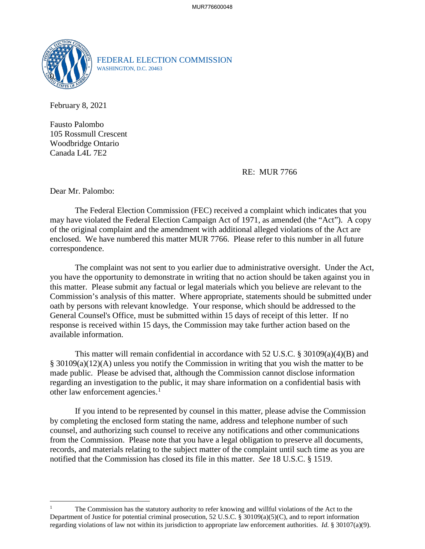

FEDERAL ELECTION COMMISSION WASHINGTON, D.C. 20463

February 8, 2021

Fausto Palombo 105 Rossmull Crescent Woodbridge Ontario Canada L4L 7E2

RE: MUR 7766

Dear Mr. Palombo:

 $\overline{a}$ 

 may have violated the Federal Election Campaign Act of 1971, as amended (the "Act"). A copy of the original complaint and the amendment with additional alleged violations of the Act are The Federal Election Commission (FEC) received a complaint which indicates that you enclosed. We have numbered this matter MUR 7766. Please refer to this number in all future correspondence.

 this matter. Please submit any factual or legal materials which you believe are relevant to the Commission's analysis of this matter. Where appropriate, statements should be submitted under The complaint was not sent to you earlier due to administrative oversight. Under the Act, you have the opportunity to demonstrate in writing that no action should be taken against you in oath by persons with relevant knowledge. Your response, which should be addressed to the General Counsel's Office, must be submitted within 15 days of receipt of this letter. If no response is received within 15 days, the Commission may take further action based on the available information.

This matter will remain confidential in accordance with 52 U.S.C.  $\S 30109(a)(4)(B)$  and § 30109(a)(12)(A) unless you notify the Commission in writing that you wish the matter to be made public. Please be advised that, although the Commission cannot disclose information regarding an investigation to the public, it may share information on a confidential basis with other law enforcement agencies.<sup>1</sup>

 If you intend to be represented by counsel in this matter, please advise the Commission from the Commission. Please note that you have a legal obligation to preserve all documents, records, and materials relating to the subject matter of the complaint until such time as you are notified that the Commission has closed its file in this matter. *See* 18 U.S.C. § 1519. by completing the enclosed form stating the name, address and telephone number of such counsel, and authorizing such counsel to receive any notifications and other communications

 regarding violations of law not within its jurisdiction to appropriate law enforcement authorities. *Id.* § 30107(a)(9). The Commission has the statutory authority to refer knowing and willful violations of the Act to the Department of Justice for potential criminal prosecution, 52 U.S.C. § 30109(a)(5)(C), and to report information 1